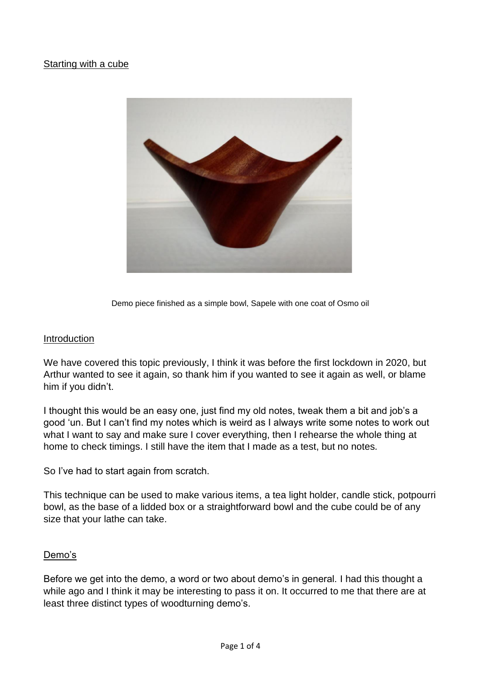### Starting with a cube



Demo piece finished as a simple bowl, Sapele with one coat of Osmo oil

#### Introduction

We have covered this topic previously, I think it was before the first lockdown in 2020, but Arthur wanted to see it again, so thank him if you wanted to see it again as well, or blame him if you didn't.

I thought this would be an easy one, just find my old notes, tweak them a bit and job's a good 'un. But I can't find my notes which is weird as I always write some notes to work out what I want to say and make sure I cover everything, then I rehearse the whole thing at home to check timings. I still have the item that I made as a test, but no notes.

So I've had to start again from scratch.

This technique can be used to make various items, a tea light holder, candle stick, potpourri bowl, as the base of a lidded box or a straightforward bowl and the cube could be of any size that your lathe can take.

#### Demo's

Before we get into the demo, a word or two about demo's in general. I had this thought a while ago and I think it may be interesting to pass it on. It occurred to me that there are at least three distinct types of woodturning demo's.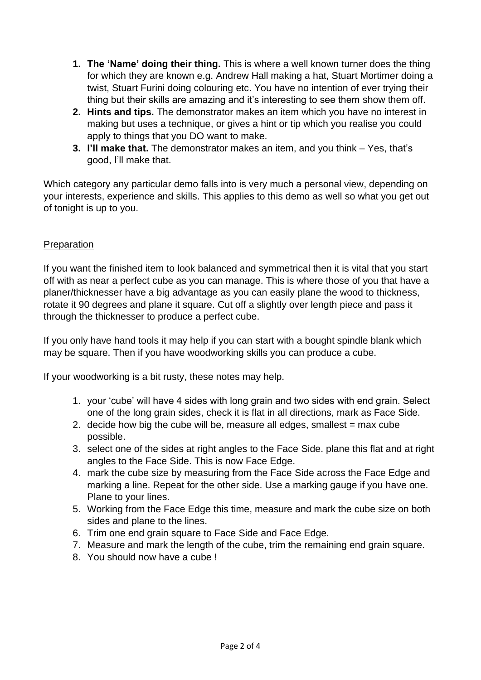- **1. The 'Name' doing their thing.** This is where a well known turner does the thing for which they are known e.g. Andrew Hall making a hat, Stuart Mortimer doing a twist, Stuart Furini doing colouring etc. You have no intention of ever trying their thing but their skills are amazing and it's interesting to see them show them off.
- **2. Hints and tips.** The demonstrator makes an item which you have no interest in making but uses a technique, or gives a hint or tip which you realise you could apply to things that you DO want to make.
- **3. I'll make that.** The demonstrator makes an item, and you think Yes, that's good, I'll make that.

Which category any particular demo falls into is very much a personal view, depending on your interests, experience and skills. This applies to this demo as well so what you get out of tonight is up to you.

## Preparation

If you want the finished item to look balanced and symmetrical then it is vital that you start off with as near a perfect cube as you can manage. This is where those of you that have a planer/thicknesser have a big advantage as you can easily plane the wood to thickness, rotate it 90 degrees and plane it square. Cut off a slightly over length piece and pass it through the thicknesser to produce a perfect cube.

If you only have hand tools it may help if you can start with a bought spindle blank which may be square. Then if you have woodworking skills you can produce a cube.

If your woodworking is a bit rusty, these notes may help.

- 1. your 'cube' will have 4 sides with long grain and two sides with end grain. Select one of the long grain sides, check it is flat in all directions, mark as Face Side.
- 2. decide how big the cube will be, measure all edges, smallest  $=$  max cube possible.
- 3. select one of the sides at right angles to the Face Side. plane this flat and at right angles to the Face Side. This is now Face Edge.
- 4. mark the cube size by measuring from the Face Side across the Face Edge and marking a line. Repeat for the other side. Use a marking gauge if you have one. Plane to your lines.
- 5. Working from the Face Edge this time, measure and mark the cube size on both sides and plane to the lines.
- 6. Trim one end grain square to Face Side and Face Edge.
- 7. Measure and mark the length of the cube, trim the remaining end grain square.
- 8. You should now have a cube !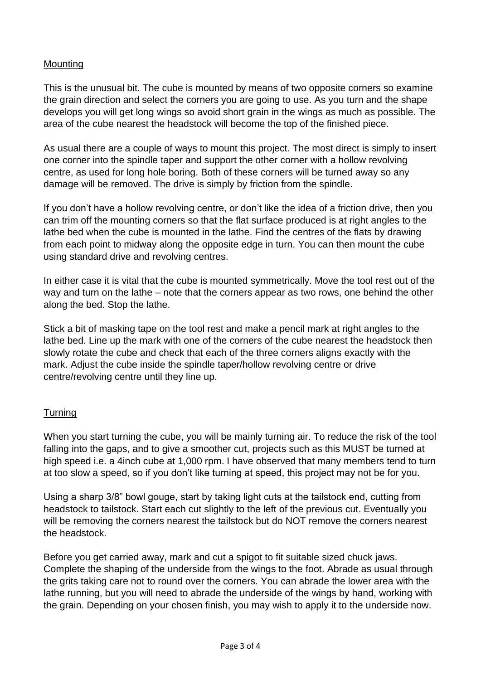# Mounting

This is the unusual bit. The cube is mounted by means of two opposite corners so examine the grain direction and select the corners you are going to use. As you turn and the shape develops you will get long wings so avoid short grain in the wings as much as possible. The area of the cube nearest the headstock will become the top of the finished piece.

As usual there are a couple of ways to mount this project. The most direct is simply to insert one corner into the spindle taper and support the other corner with a hollow revolving centre, as used for long hole boring. Both of these corners will be turned away so any damage will be removed. The drive is simply by friction from the spindle.

If you don't have a hollow revolving centre, or don't like the idea of a friction drive, then you can trim off the mounting corners so that the flat surface produced is at right angles to the lathe bed when the cube is mounted in the lathe. Find the centres of the flats by drawing from each point to midway along the opposite edge in turn. You can then mount the cube using standard drive and revolving centres.

In either case it is vital that the cube is mounted symmetrically. Move the tool rest out of the way and turn on the lathe – note that the corners appear as two rows, one behind the other along the bed. Stop the lathe.

Stick a bit of masking tape on the tool rest and make a pencil mark at right angles to the lathe bed. Line up the mark with one of the corners of the cube nearest the headstock then slowly rotate the cube and check that each of the three corners aligns exactly with the mark. Adjust the cube inside the spindle taper/hollow revolving centre or drive centre/revolving centre until they line up.

## **Turning**

When you start turning the cube, you will be mainly turning air. To reduce the risk of the tool falling into the gaps, and to give a smoother cut, projects such as this MUST be turned at high speed i.e. a 4inch cube at 1,000 rpm. I have observed that many members tend to turn at too slow a speed, so if you don't like turning at speed, this project may not be for you.

Using a sharp 3/8" bowl gouge, start by taking light cuts at the tailstock end, cutting from headstock to tailstock. Start each cut slightly to the left of the previous cut. Eventually you will be removing the corners nearest the tailstock but do NOT remove the corners nearest the headstock.

Before you get carried away, mark and cut a spigot to fit suitable sized chuck jaws. Complete the shaping of the underside from the wings to the foot. Abrade as usual through the grits taking care not to round over the corners. You can abrade the lower area with the lathe running, but you will need to abrade the underside of the wings by hand, working with the grain. Depending on your chosen finish, you may wish to apply it to the underside now.